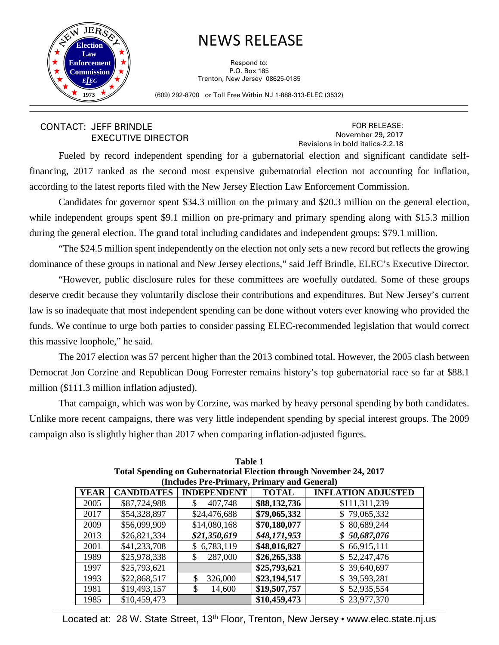

## NEWS RELEASE

Respond to: P.O. Box 185 Trenton, New Jersey 08625-0185

(609) 292-8700 or Toll Free Within NJ 1-888-313-ELEC (3532)

## CONTACT: JEFF BRINDLE EXECUTIVE DIRECTOR

FOR RELEASE: November 29, 2017 Revisions in bold italics-2.2.18

Fueled by record independent spending for a gubernatorial election and significant candidate selffinancing, 2017 ranked as the second most expensive gubernatorial election not accounting for inflation, according to the latest reports filed with the New Jersey Election Law Enforcement Commission.

Candidates for governor spent \$34.3 million on the primary and \$20.3 million on the general election, while independent groups spent \$9.1 million on pre-primary and primary spending along with \$15.3 million during the general election. The grand total including candidates and independent groups: \$79.1 million.

"The \$24.5 million spent independently on the election not only sets a new record but reflects the growing dominance of these groups in national and New Jersey elections," said Jeff Brindle, ELEC's Executive Director.

"However, public disclosure rules for these committees are woefully outdated. Some of these groups deserve credit because they voluntarily disclose their contributions and expenditures. But New Jersey's current law is so inadequate that most independent spending can be done without voters ever knowing who provided the funds. We continue to urge both parties to consider passing ELEC-recommended legislation that would correct this massive loophole," he said.

The 2017 election was 57 percent higher than the 2013 combined total. However, the 2005 clash between Democrat Jon Corzine and Republican Doug Forrester remains history's top gubernatorial race so far at \$88.1 million (\$111.3 million inflation adjusted).

That campaign, which was won by Corzine, was marked by heavy personal spending by both candidates. Unlike more recent campaigns, there was very little independent spending by special interest groups. The 2009 campaign also is slightly higher than 2017 when comparing inflation-adjusted figures.

| Total Spending on Gubernatorial Election through inoveniber 24, 2017 |                   |                    |              |                           |  |  |
|----------------------------------------------------------------------|-------------------|--------------------|--------------|---------------------------|--|--|
| (Includes Pre-Primary, Primary and General)                          |                   |                    |              |                           |  |  |
| <b>YEAR</b>                                                          | <b>CANDIDATES</b> | <b>INDEPENDENT</b> | <b>TOTAL</b> | <b>INFLATION ADJUSTED</b> |  |  |
| 2005                                                                 | \$87,724,988      | 407,748            | \$88,132,736 | \$111,311,239             |  |  |
| 2017                                                                 | \$54,328,897      | \$24,476,688       | \$79,065,332 | \$79,065,332              |  |  |
| 2009                                                                 | \$56,099,909      | \$14,080,168       | \$70,180,077 | \$80,689,244              |  |  |
| 2013                                                                 | \$26,821,334      | \$21,350,619       | \$48,171,953 | \$50,687,076              |  |  |
| 2001                                                                 | \$41,233,708      | 6,783,119          | \$48,016,827 | \$66,915,111              |  |  |
| 1989                                                                 | \$25,978,338      | 287,000<br>\$      | \$26,265,338 | \$52,247,476              |  |  |
| 1997                                                                 | \$25,793,621      |                    | \$25,793,621 | 39,640,697<br>\$          |  |  |
| 1993                                                                 | \$22,868,517      | 326,000<br>\$      | \$23,194,517 | \$39,593,281              |  |  |
| 1981                                                                 | \$19,493,157      | \$<br>14,600       | \$19,507,757 | 52,935,554<br>\$          |  |  |
| 1985                                                                 | \$10,459,473      |                    | \$10,459,473 | \$23,977,370              |  |  |

| Table 1                                                            |
|--------------------------------------------------------------------|
| Total Spending on Gubernatorial Election through November 24, 2017 |
| (Includes Pre-Primary, Primary and General)                        |

\_\_\_\_\_\_\_\_\_\_\_\_\_\_\_\_\_\_\_\_\_\_\_\_\_\_\_\_\_\_\_\_\_\_\_\_\_\_\_\_\_\_\_\_\_\_\_\_\_\_\_\_\_\_\_\_\_\_\_\_\_\_\_\_\_\_\_\_\_\_\_\_\_\_\_\_\_\_\_\_\_\_\_\_\_\_\_\_\_\_\_\_\_\_\_\_\_\_\_\_\_\_\_\_\_\_\_\_\_\_\_\_\_\_\_\_\_\_\_\_\_\_\_\_\_\_\_\_\_\_\_\_\_\_\_\_\_\_ Located at: 28 W. State Street, 13<sup>th</sup> Floor, Trenton, New Jersey • www.elec.state.nj.us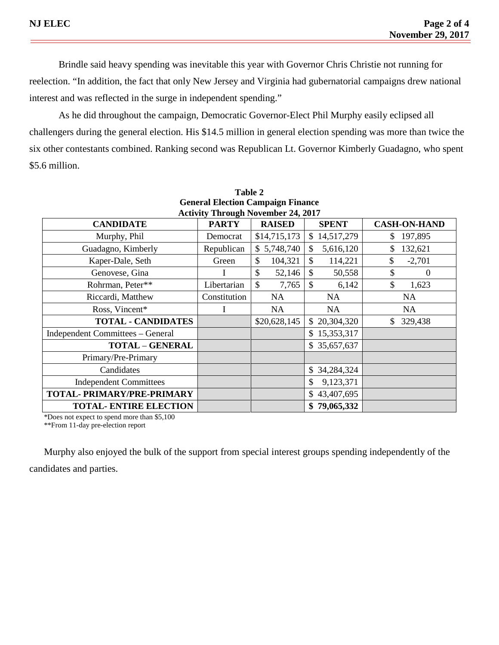Brindle said heavy spending was inevitable this year with Governor Chris Christie not running for reelection. "In addition, the fact that only New Jersey and Virginia had gubernatorial campaigns drew national interest and was reflected in the surge in independent spending."

As he did throughout the campaign, Democratic Governor-Elect Phil Murphy easily eclipsed all challengers during the general election. His \$14.5 million in general election spending was more than twice the six other contestants combined. Ranking second was Republican Lt. Governor Kimberly Guadagno, who spent \$5.6 million.

| General Electron Campaign Finance<br><b>Activity Through November 24, 2017</b> |              |               |                            |                     |  |
|--------------------------------------------------------------------------------|--------------|---------------|----------------------------|---------------------|--|
| <b>CANDIDATE</b>                                                               | <b>PARTY</b> | <b>RAISED</b> | <b>SPENT</b>               | <b>CASH-ON-HAND</b> |  |
| Murphy, Phil                                                                   | Democrat     | \$14,715,173  | 14,517,279<br>$\mathbb{S}$ | 197,895<br>S        |  |
| Guadagno, Kimberly                                                             | Republican   | \$5,748,740   | \$<br>5,616,120            | \$<br>132,621       |  |
| Kaper-Dale, Seth                                                               | Green        | \$<br>104,321 | \$<br>114,221              | \$<br>$-2,701$      |  |
| Genovese, Gina                                                                 |              | \$<br>52,146  | $\mathcal{S}$<br>50,558    | \$<br>$\theta$      |  |
| Rohrman, Peter**                                                               | Libertarian  | \$<br>7,765   | $\mathcal{S}$<br>6,142     | \$<br>1,623         |  |
| Riccardi, Matthew                                                              | Constitution | NA.           | <b>NA</b>                  | <b>NA</b>           |  |
| Ross, Vincent*                                                                 |              | NA            | NA.                        | NA                  |  |
| <b>TOTAL - CANDIDATES</b>                                                      |              | \$20,628,145  | \$20,304,320               | \$<br>329,438       |  |
| Independent Committees - General                                               |              |               | \$15,353,317               |                     |  |
| <b>TOTAL - GENERAL</b>                                                         |              |               | \$35,657,637               |                     |  |
| Primary/Pre-Primary                                                            |              |               |                            |                     |  |
| Candidates                                                                     |              |               | \$34,284,324               |                     |  |
| <b>Independent Committees</b>                                                  |              |               | \$<br>9,123,371            |                     |  |
| TOTAL- PRIMARY/PRE-PRIMARY                                                     |              |               | \$43,407,695               |                     |  |
| <b>TOTAL- ENTIRE ELECTION</b>                                                  |              |               | \$79,065,332               |                     |  |

**Table 2 General Election Campaign Finance**

\*Does not expect to spend more than \$5,100

\*\*From 11-day pre-election report

Murphy also enjoyed the bulk of the support from special interest groups spending independently of the candidates and parties.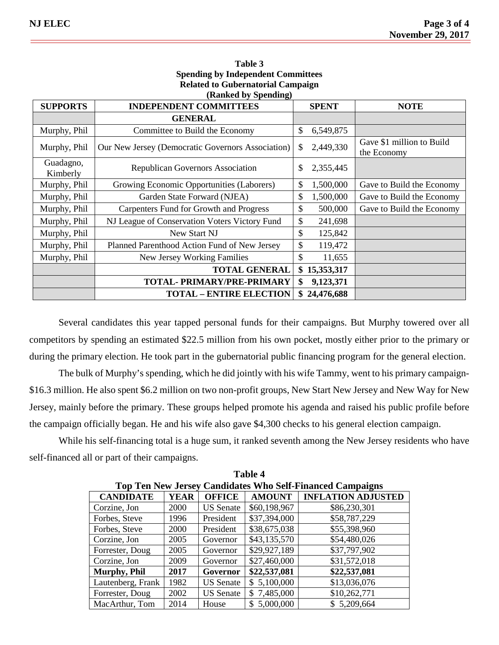| Related to Gubernatorial Campaign<br>(Ranked by Spending) |                                                   |             |              |                                          |  |
|-----------------------------------------------------------|---------------------------------------------------|-------------|--------------|------------------------------------------|--|
| <b>SUPPORTS</b>                                           | <b>INDEPENDENT COMMITTEES</b>                     | <b>NOTE</b> |              |                                          |  |
|                                                           | <b>GENERAL</b>                                    |             |              |                                          |  |
| Murphy, Phil                                              | Committee to Build the Economy                    | \$          | 6,549,875    |                                          |  |
| Murphy, Phil                                              | Our New Jersey (Democratic Governors Association) | \$          | 2,449,330    | Gave \$1 million to Build<br>the Economy |  |
| Guadagno,<br>Kimberly                                     | <b>Republican Governors Association</b>           | \$          | 2,355,445    |                                          |  |
| Murphy, Phil                                              | Growing Economic Opportunities (Laborers)         | \$          | 1,500,000    | Gave to Build the Economy                |  |
| Murphy, Phil                                              | Garden State Forward (NJEA)                       | \$          | 1,500,000    | Gave to Build the Economy                |  |
| Murphy, Phil                                              | Carpenters Fund for Growth and Progress           | \$          | 500,000      | Gave to Build the Economy                |  |
| Murphy, Phil                                              | NJ League of Conservation Voters Victory Fund     | \$          | 241,698      |                                          |  |
| Murphy, Phil                                              | New Start NJ                                      | \$          | 125,842      |                                          |  |
| Murphy, Phil                                              | Planned Parenthood Action Fund of New Jersey      | \$          | 119,472      |                                          |  |
| Murphy, Phil                                              | <b>New Jersey Working Families</b>                | \$          | 11,655       |                                          |  |
|                                                           | <b>TOTAL GENERAL</b>                              |             | \$15,353,317 |                                          |  |
|                                                           | TOTAL- PRIMARY/PRE-PRIMARY                        | \$          | 9,123,371    |                                          |  |
|                                                           | <b>TOTAL - ENTIRE ELECTION</b>                    | \$          | 24,476,688   |                                          |  |

## **Table 3 Spending by Independent Committees Related to Gubernatorial Campaign**

Several candidates this year tapped personal funds for their campaigns. But Murphy towered over all competitors by spending an estimated \$22.5 million from his own pocket, mostly either prior to the primary or during the primary election. He took part in the gubernatorial public financing program for the general election.

The bulk of Murphy's spending, which he did jointly with his wife Tammy, went to his primary campaign- \$16.3 million. He also spent \$6.2 million on two non-profit groups, New Start New Jersey and New Way for New Jersey, mainly before the primary. These groups helped promote his agenda and raised his public profile before the campaign officially began. He and his wife also gave \$4,300 checks to his general election campaign.

While his self-financing total is a huge sum, it ranked seventh among the New Jersey residents who have self-financed all or part of their campaigns.

**Table 4**

| .                                                                |             |                  |               |                           |  |
|------------------------------------------------------------------|-------------|------------------|---------------|---------------------------|--|
| <b>Top Ten New Jersey Candidates Who Self-Financed Campaigns</b> |             |                  |               |                           |  |
| <b>CANDIDATE</b>                                                 | YEAR        | <b>OFFICE</b>    | <b>AMOUNT</b> | <b>INFLATION ADJUSTED</b> |  |
| Corzine, Jon                                                     | <b>2000</b> | <b>US</b> Senate | \$60,198,967  | \$86,230,301              |  |
| Forbes, Steve                                                    | 1996        | President        | \$37,394,000  | \$58,787,229              |  |
| Forbes, Steve                                                    | <b>2000</b> | President        | \$38,675,038  | \$55,398,960              |  |
| Corzine, Jon                                                     | 2005        | Governor         | \$43,135,570  | \$54,480,026              |  |
| Forrester, Doug                                                  | 2005        | Governor         | \$29,927,189  | \$37,797,902              |  |
| Corzine, Jon                                                     | 2009        | Governor         | \$27,460,000  | \$31,572,018              |  |
| <b>Murphy, Phil</b>                                              | 2017        | Governor         | \$22,537,081  | \$22,537,081              |  |
| Lautenberg, Frank                                                | 1982        | <b>US</b> Senate | \$5,100,000   | \$13,036,076              |  |
| Forrester, Doug                                                  | 2002        | <b>US</b> Senate | \$7,485,000   | \$10,262,771              |  |
| MacArthur, Tom                                                   | 2014        | House            | 5,000,000     | \$5,209,664               |  |